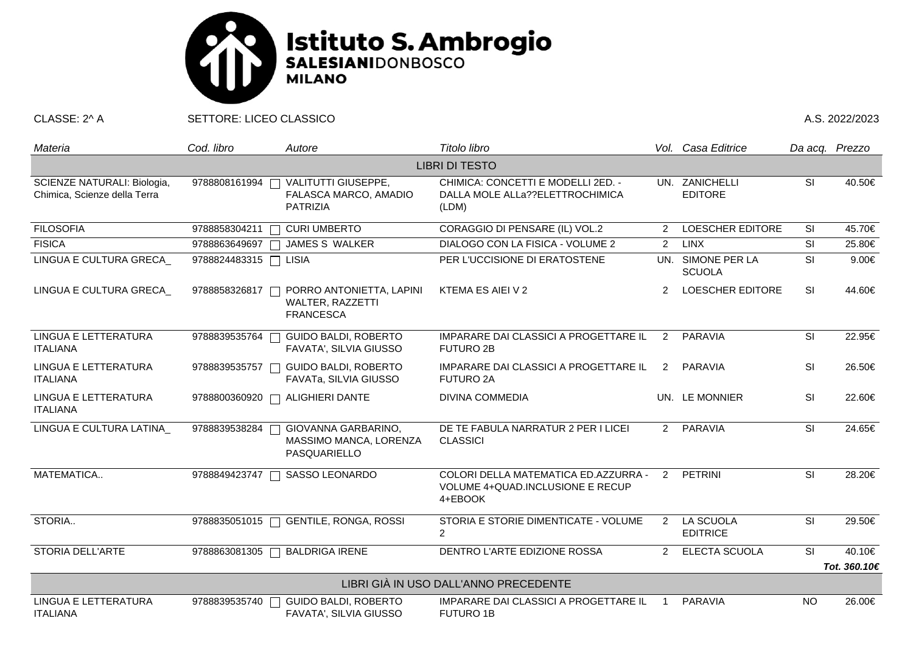

CLASSE: 2^ A SETTORE: LICEO CLASSICO A.S. 2022/2023

| Materia                                                     | Cod. libro            | Autore                                                           | Titolo libro                                                                        |                | Vol. Casa Editrice                 |                          | Da acq. Prezzo |  |  |  |  |
|-------------------------------------------------------------|-----------------------|------------------------------------------------------------------|-------------------------------------------------------------------------------------|----------------|------------------------------------|--------------------------|----------------|--|--|--|--|
| <b>LIBRI DI TESTO</b>                                       |                       |                                                                  |                                                                                     |                |                                    |                          |                |  |  |  |  |
| SCIENZE NATURALI: Biologia,<br>Chimica, Scienze della Terra | 9788808161994         | VALITUTTI GIUSEPPE,<br>FALASCA MARCO, AMADIO<br>PATRIZIA         | CHIMICA: CONCETTI E MODELLI 2ED. -<br>DALLA MOLE ALLa??ELETTROCHIMICA<br>(LDM)      |                | UN. ZANICHELLI<br><b>EDITORE</b>   | SI                       | 40.50€         |  |  |  |  |
| <b>FILOSOFIA</b>                                            | 9788858304211         | <b>CURI UMBERTO</b>                                              | CORAGGIO DI PENSARE (IL) VOL.2                                                      | $\overline{2}$ | <b>LOESCHER EDITORE</b>            | SI                       | 45.70€         |  |  |  |  |
| <b>FISICA</b>                                               | 9788863649697         | JAMES S WALKER<br>$\sqrt{2}$                                     | DIALOGO CON LA FISICA - VOLUME 2                                                    | $\overline{2}$ | <b>LINX</b>                        | SI                       | 25.80€         |  |  |  |  |
| LINGUA E CULTURA GRECA                                      | 9788824483315 □ LISIA |                                                                  | PER L'UCCISIONE DI ERATOSTENE                                                       |                | UN. SIMONE PER LA<br><b>SCUOLA</b> | SI                       | 9.00€          |  |  |  |  |
| LINGUA E CULTURA GRECA                                      | 9788858326817         | PORRO ANTONIETTA, LAPINI<br>WALTER, RAZZETTI<br><b>FRANCESCA</b> | KTEMA ES AIEI V 2                                                                   | 2              | <b>LOESCHER EDITORE</b>            | <b>SI</b>                | 44.60€         |  |  |  |  |
| LINGUA E LETTERATURA<br><b>ITALIANA</b>                     | 9788839535764         | <b>GUIDO BALDI, ROBERTO</b><br>FAVATA', SILVIA GIUSSO            | IMPARARE DAI CLASSICI A PROGETTARE IL<br><b>FUTURO 2B</b>                           | 2              | <b>PARAVIA</b>                     | SI                       | 22.95€         |  |  |  |  |
| LINGUA E LETTERATURA<br><b>ITALIANA</b>                     | 9788839535757         | <b>GUIDO BALDI, ROBERTO</b><br>FAVATA, SILVIA GIUSSO             | IMPARARE DAI CLASSICI A PROGETTARE IL<br><b>FUTURO 2A</b>                           | 2              | PARAVIA                            | <b>SI</b>                | 26.50€         |  |  |  |  |
| LINGUA E LETTERATURA<br><b>ITALIANA</b>                     | 9788800360920         | <b>ALIGHIERI DANTE</b>                                           | <b>DIVINA COMMEDIA</b>                                                              |                | UN. LE MONNIER                     | SI                       | 22.60€         |  |  |  |  |
| LINGUA E CULTURA LATINA                                     | 9788839538284         | GIOVANNA GARBARINO,<br>MASSIMO MANCA, LORENZA<br>PASQUARIELLO    | DE TE FABULA NARRATUR 2 PER I LICEI<br><b>CLASSICI</b>                              | $2^{\circ}$    | PARAVIA                            | $\overline{\mathsf{SI}}$ | 24.65€         |  |  |  |  |
| MATEMATICA                                                  | 9788849423747         | SASSO LEONARDO                                                   | COLORI DELLA MATEMATICA ED.AZZURRA -<br>VOLUME 4+QUAD.INCLUSIONE E RECUP<br>4+EBOOK | $\mathcal{P}$  | <b>PETRINI</b>                     | SI                       | 28.20€         |  |  |  |  |
| STORIA                                                      | 9788835051015         | <b>GENTILE, RONGA, ROSSI</b>                                     | STORIA E STORIE DIMENTICATE - VOLUME<br>$\overline{2}$                              | 2              | LA SCUOLA<br><b>EDITRICE</b>       | SI                       | 29.50€         |  |  |  |  |
| STORIA DELL'ARTE                                            | 9788863081305         | <b>BALDRIGA IRENE</b>                                            | DENTRO L'ARTE EDIZIONE ROSSA                                                        | 2              | ELECTA SCUOLA                      | $\overline{\mathsf{SI}}$ | 40.10€         |  |  |  |  |
|                                                             |                       |                                                                  |                                                                                     |                |                                    |                          | Tot. 360.10€   |  |  |  |  |
| LIBRI GIÀ IN USO DALL'ANNO PRECEDENTE                       |                       |                                                                  |                                                                                     |                |                                    |                          |                |  |  |  |  |
| LINGUA E LETTERATURA<br><b>ITALIANA</b>                     | 9788839535740         | <b>GUIDO BALDI, ROBERTO</b><br>FAVATA', SILVIA GIUSSO            | IMPARARE DAI CLASSICI A PROGETTARE IL<br><b>FUTURO 1B</b>                           |                | <b>PARAVIA</b>                     | <b>NO</b>                | 26.00€         |  |  |  |  |